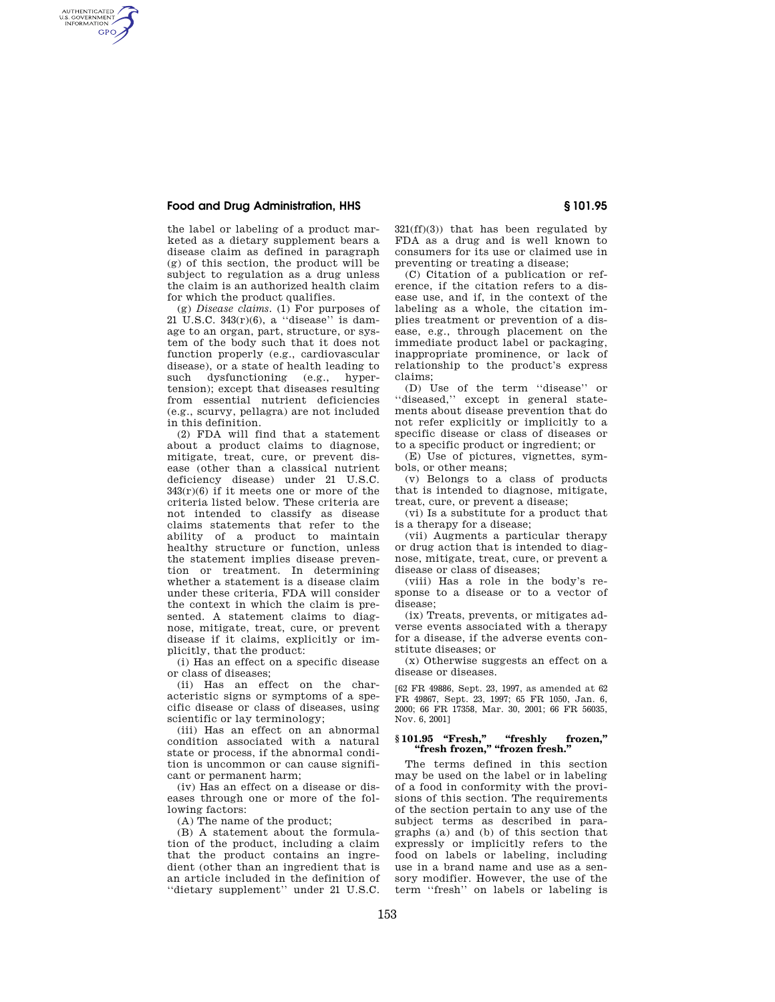### **Food and Drug Administration, HHS § 101.95**

AUTHENTICATED<br>U.S. GOVERNMENT<br>INFORMATION **GPO** 

> the label or labeling of a product marketed as a dietary supplement bears a disease claim as defined in paragraph (g) of this section, the product will be subject to regulation as a drug unless the claim is an authorized health claim for which the product qualifies.

(g) *Disease claims.* (1) For purposes of 21 U.S.C. 343(r)(6), a ''disease'' is damage to an organ, part, structure, or system of the body such that it does not function properly (e.g., cardiovascular disease), or a state of health leading to such dysfunctioning (e.g., hypertension); except that diseases resulting from essential nutrient deficiencies (e.g., scurvy, pellagra) are not included in this definition.

(2) FDA will find that a statement about a product claims to diagnose, mitigate, treat, cure, or prevent disease (other than a classical nutrient deficiency disease) under 21 U.S.C.  $343(r)(6)$  if it meets one or more of the criteria listed below. These criteria are not intended to classify as disease claims statements that refer to the ability of a product to maintain healthy structure or function, unless the statement implies disease prevention or treatment. In determining whether a statement is a disease claim under these criteria, FDA will consider the context in which the claim is presented. A statement claims to diagnose, mitigate, treat, cure, or prevent disease if it claims, explicitly or implicitly, that the product:

(i) Has an effect on a specific disease or class of diseases;

(ii) Has an effect on the characteristic signs or symptoms of a specific disease or class of diseases, using scientific or lay terminology;

(iii) Has an effect on an abnormal condition associated with a natural state or process, if the abnormal condition is uncommon or can cause significant or permanent harm;

(iv) Has an effect on a disease or diseases through one or more of the following factors:

(A) The name of the product;

(B) A statement about the formulation of the product, including a claim that the product contains an ingredient (other than an ingredient that is an article included in the definition of ''dietary supplement'' under 21 U.S.C.

 $321(ff)(3)$  that has been regulated by FDA as a drug and is well known to consumers for its use or claimed use in preventing or treating a disease;

(C) Citation of a publication or reference, if the citation refers to a disease use, and if, in the context of the labeling as a whole, the citation implies treatment or prevention of a disease, e.g., through placement on the immediate product label or packaging, inappropriate prominence, or lack of relationship to the product's express claims;

(D) Use of the term ''disease'' or ''diseased,'' except in general statements about disease prevention that do not refer explicitly or implicitly to a specific disease or class of diseases or to a specific product or ingredient; or

(E) Use of pictures, vignettes, symbols, or other means;

(v) Belongs to a class of products that is intended to diagnose, mitigate, treat, cure, or prevent a disease;

(vi) Is a substitute for a product that is a therapy for a disease;

(vii) Augments a particular therapy or drug action that is intended to diagnose, mitigate, treat, cure, or prevent a disease or class of diseases;

(viii) Has a role in the body's response to a disease or to a vector of disease;

(ix) Treats, prevents, or mitigates adverse events associated with a therapy for a disease, if the adverse events constitute diseases; or

(x) Otherwise suggests an effect on a disease or diseases.

[62 FR 49886, Sept. 23, 1997, as amended at 62 FR 49867, Sept. 23, 1997; 65 FR 1050, Jan. 6, 2000; 66 FR 17358, Mar. 30, 2001; 66 FR 56035, Nov. 6, 2001]

#### § 101.95 "Fresh," "freshly frozen," **''fresh frozen,'' ''frozen fresh.''**

The terms defined in this section may be used on the label or in labeling of a food in conformity with the provisions of this section. The requirements of the section pertain to any use of the subject terms as described in paragraphs (a) and (b) of this section that expressly or implicitly refers to the food on labels or labeling, including use in a brand name and use as a sensory modifier. However, the use of the term ''fresh'' on labels or labeling is